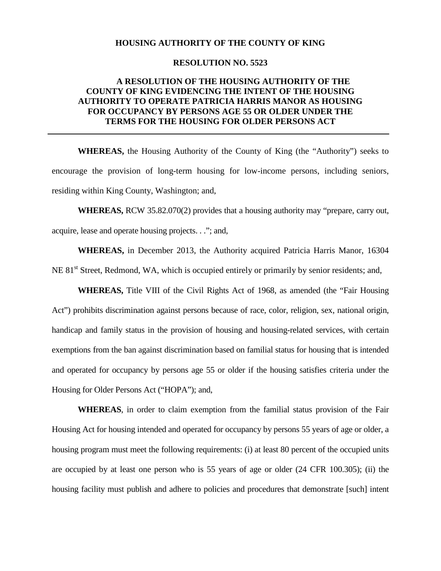### **HOUSING AUTHORITY OF THE COUNTY OF KING**

### **RESOLUTION NO. 5523**

## **A RESOLUTION OF THE HOUSING AUTHORITY OF THE COUNTY OF KING EVIDENCING THE INTENT OF THE HOUSING AUTHORITY TO OPERATE PATRICIA HARRIS MANOR AS HOUSING FOR OCCUPANCY BY PERSONS AGE 55 OR OLDER UNDER THE TERMS FOR THE HOUSING FOR OLDER PERSONS ACT**

**WHEREAS,** the Housing Authority of the County of King (the "Authority") seeks to encourage the provision of long-term housing for low-income persons, including seniors, residing within King County, Washington; and,

**WHEREAS,** RCW 35.82.070(2) provides that a housing authority may "prepare, carry out, acquire, lease and operate housing projects. . ."; and,

**WHEREAS,** in December 2013, the Authority acquired Patricia Harris Manor, 16304 NE 81<sup>st</sup> Street, Redmond, WA, which is occupied entirely or primarily by senior residents; and,

**WHEREAS,** Title VIII of the Civil Rights Act of 1968, as amended (the "Fair Housing Act") prohibits discrimination against persons because of race, color, religion, sex, national origin, handicap and family status in the provision of housing and housing-related services, with certain exemptions from the ban against discrimination based on familial status for housing that is intended and operated for occupancy by persons age 55 or older if the housing satisfies criteria under the Housing for Older Persons Act ("HOPA"); and,

**WHEREAS**, in order to claim exemption from the familial status provision of the Fair Housing Act for housing intended and operated for occupancy by persons 55 years of age or older, a housing program must meet the following requirements: (i) at least 80 percent of the occupied units are occupied by at least one person who is 55 years of age or older (24 CFR 100.305); (ii) the housing facility must publish and adhere to policies and procedures that demonstrate [such] intent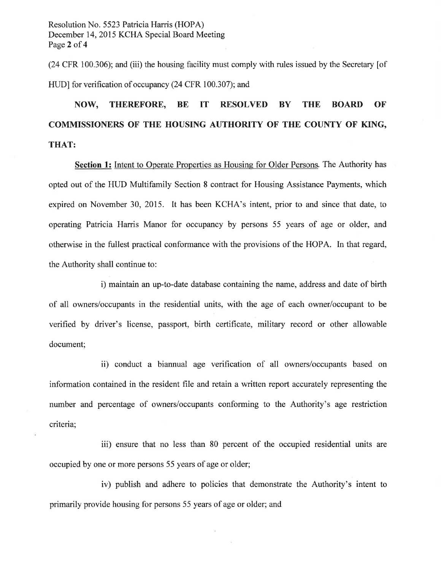Resolution No. 5523 Patricia Harris (HOPA) December 14, 2015 KCHA Special Board Meeting Page 2 of 4

(24 CFR 100.306); and (iii) the housing facility must comply with rules issued by the Secretary [of HUD] for verification of occupancy (24 CFR 100.307); and

#### NOW, **THEREFORE, BE IT RESOLVED BY THE BOARD OF** COMMISSIONERS OF THE HOUSING AUTHORITY OF THE COUNTY OF KING, **THAT:**

**Section 1:** Intent to Operate Properties as Housing for Older Persons. The Authority has opted out of the HUD Multifamily Section 8 contract for Housing Assistance Payments, which expired on November 30, 2015. It has been KCHA's intent, prior to and since that date, to operating Patricia Harris Manor for occupancy by persons 55 years of age or older, and otherwise in the fullest practical conformance with the provisions of the HOPA. In that regard, the Authority shall continue to:

i) maintain an up-to-date database containing the name, address and date of birth of all owners/occupants in the residential units, with the age of each owner/occupant to be verified by driver's license, passport, birth certificate, military record or other allowable document;

ii) conduct a biannual age verification of all owners/occupants based on information contained in the resident file and retain a written report accurately representing the number and percentage of owners/occupants conforming to the Authority's age restriction criteria;

iii) ensure that no less than 80 percent of the occupied residential units are occupied by one or more persons 55 years of age or older;

iv) publish and adhere to policies that demonstrate the Authority's intent to primarily provide housing for persons 55 years of age or older; and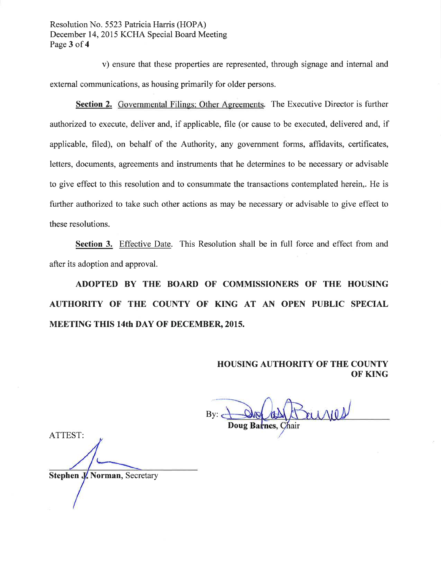Resolution No. 5523 Patricia Harris (HOPA) December 14, 2015 KCHA Special Board Meeting Page 3 of 4

v) ensure that these properties are represented, through signage and internal and external communications, as housing primarily for older persons.

Section 2. Governmental Filings; Other Agreements. The Executive Director is further authorized to execute, deliver and, if applicable, file (or cause to be executed, delivered and, if applicable, filed), on behalf of the Authority, any government forms, affidavits, certificates, letters, documents, agreements and instruments that he determines to be necessary or advisable to give effect to this resolution and to consummate the transactions contemplated herein,. He is further authorized to take such other actions as may be necessary or advisable to give effect to these resolutions.

Section 3. Effective Date. This Resolution shall be in full force and effect from and after its adoption and approval.

ADOPTED BY THE BOARD OF COMMISSIONERS OF THE HOUSING AUTHORITY OF THE COUNTY OF KING AT AN OPEN PUBLIC SPECIAL **MEETING THIS 14th DAY OF DECEMBER, 2015.** 

> **HOUSING AUTHORITY OF THE COUNTY OF KING**

 $Bv$ : Doug Barnes, Chair

ATTEST:

**Stephen J. Norman, Secretary**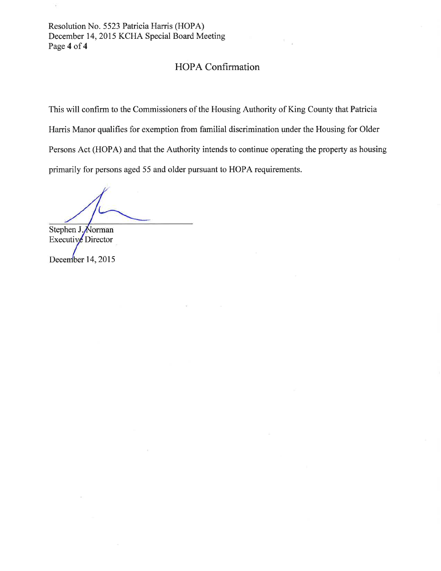Resolution No. 5523 Patricia Harris (HOPA) December 14, 2015 KCHA Special Board Meeting Page 4 of 4

## HOPA Confirmation

This will confirm to the Commissioners of the Housing Authority of King County that Patricia Harris Manor qualifies for exemption from familial discrimination under the Housing for Older Persons Act (HOPA) and that the Authority intends to continue operating the property as housing primarily for persons aged 55 and older pursuant to HOPA requirements.

Stephen J. Norman Executive Director

December 14, 2015